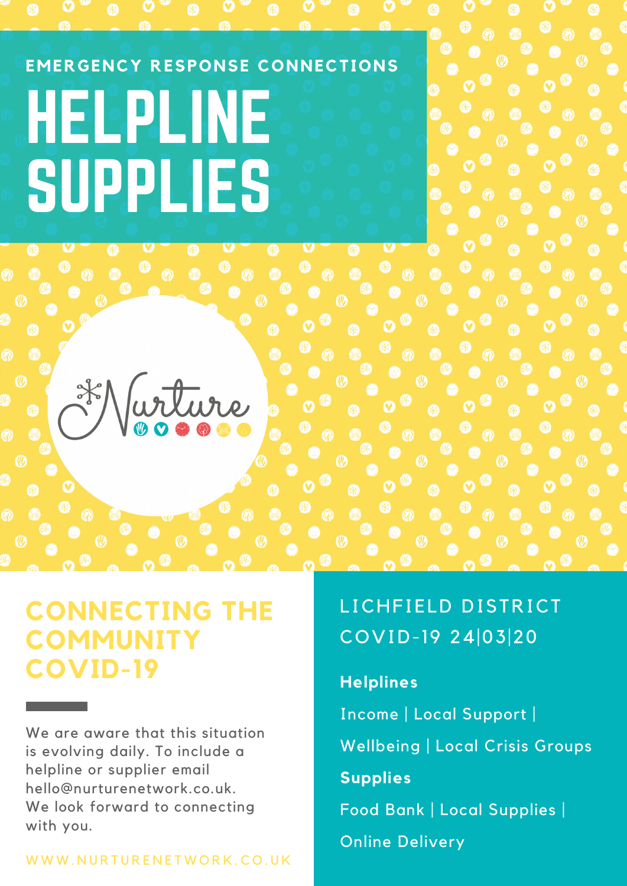# **EMERGENCY RESPONSE CONNECTIONS** HELPLINE SUPPLIES ⊛ 86 arture

## **CONNECTING THE COMMUNITY COVID-19**

We are aware that this situation is evolving daily. To include a helpline or supplier email hello@nurturenetwork.co.uk. We look forward to connecting with you.

#### WWW.NURTURENETWORK.CO.UK

## LICHFIELD DISTRICT COVID-19 24|03|20

#### **Helplines**

Income | Local Support | Wellbeing | Local Crisis Groups **Supplies** Food Bank |Local Supplies | Online Delivery